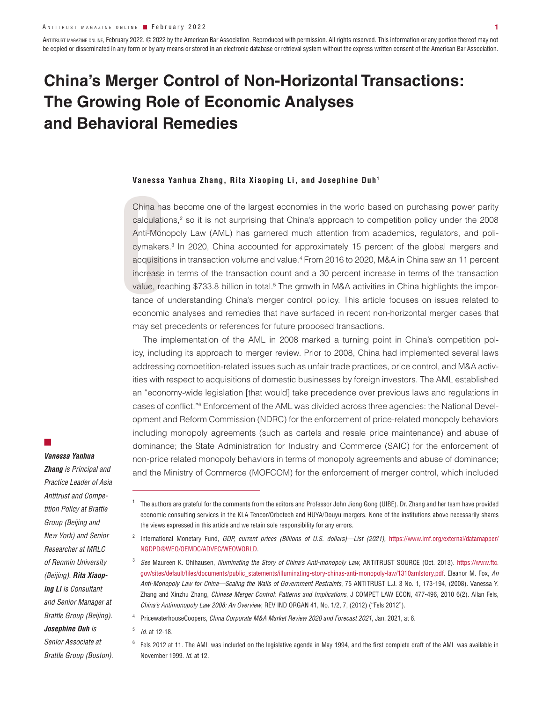ANTITRUST MAGAZINE ONLINE, February 2022. © 2022 by the American Bar Association. Reproduced with permission. All rights reserved. This information or any portion thereof may not be copied or disseminated in any form or by any means or stored in an electronic database or retrieval system without the express written consent of the American Bar Association.

# **China's Merger Control of Non-Horizontal Transactions: The Growing Role of Economic Analyses and Behavioral Remedies**

### **Vanessa Yanhua Zhang, Rita Xiaoping Li, and Josephine Duh1**

China ha<br>calculati<br>Anti-Mor<br>cymaker<br>acquisitii<br>increase<br>value, re<br>tance of<br>economi China has become one of the largest economies in the world based on purchasing power parity calculations,<sup>2</sup> so it is not surprising that China's approach to competition policy under the 2008 Anti-Monopoly Law (AML) has garnered much attention from academics, regulators, and policymakers.<sup>3</sup> In 2020, China accounted for approximately 15 percent of the global mergers and acquisitions in transaction volume and value.4 From 2016 to 2020, M&A in China saw an 11 percent increase in terms of the transaction count and a 30 percent increase in terms of the transaction value, reaching \$733.8 billion in total.<sup>5</sup> The growth in M&A activities in China highlights the importance of understanding China's merger control policy. This article focuses on issues related to economic analyses and remedies that have surfaced in recent non-horizontal merger cases that may set precedents or references for future proposed transactions.

The implementation of the AML in 2008 marked a turning point in China's competition policy, including its approach to merger review. Prior to 2008, China had implemented several laws addressing competition-related issues such as unfair trade practices, price control, and M&A activities with respect to acquisitions of domestic businesses by foreign investors. The AML established an "economy-wide legislation [that would] take precedence over previous laws and regulations in cases of conflict."6 Enforcement of the AML was divided across three agencies: the National Development and Reform Commission (NDRC) for the enforcement of price-related monopoly behaviors including monopoly agreements (such as cartels and resale price maintenance) and abuse of dominance; the State Administration for Industry and Commerce (SAIC) for the enforcement of non-price related monopoly behaviors in terms of monopoly agreements and abuse of dominance; and the Ministry of Commerce (MOFCOM) for the enforcement of merger control, which included

### *Vanessa Yanhua*

■

*Zhang is Principal and Practice Leader of Asia Antitrust and Competition Policy at Brattle Group (Beijing and New York) and Senior Researcher at MRLC of Renmin University (Beijing). Rita Xiaoping Li is Consultant and Senior Manager at Brattle Group (Beijing). Josephine Duh is Senior Associate at Brattle Group (Boston).* 

<sup>1</sup> The authors are grateful for the comments from the editors and Professor John Jiong Gong (UIBE). Dr. Zhang and her team have provided economic consulting services in the KLA Tencor/Orbotech and HUYA/Douyu mergers. None of the institutions above necessarily shares the views expressed in this article and we retain sole responsibility for any errors.

<sup>&</sup>lt;sup>2</sup> International Monetary Fund, *GDP, current prices (Billions of U.S. dollars)—List (2021), https://www.imf.org/external/datamapper/* NGDPD@WEO/OEMDC/ADVEC/WEOWORLD.

<sup>3</sup> *See* Maureen K. Ohlhausen, *Illuminating the Story of China's Anti-monopoly Law*, ANTITRUST SOURCE (Oct. 2013). https://www.ftc. gov/sites/default/files/documents/public\_statements/illuminating-story-chinas-anti-monopoly-law/1310amlstory.pdf. Eleanor M. Fox, *An Anti-Monopoly Law for China—Scaling the Walls of Government Restraints*, 75 ANTITRUST L.J. 3 No. 1, 173-194, (2008). Vanessa Y. Zhang and Xinzhu Zhang, *Chinese Merger Control: Patterns and Implications*, J COMPET LAW ECON, 477-496, 2010 6(2). Allan Fels, *China's Antimonopoly Law 2008: An Overview*, REV IND ORGAN 41, No. 1/2, 7, (2012) ("Fels 2012").

<sup>4</sup> PricewaterhouseCoopers, *China Corporate M&A Market Review 2020 and Forecast 2021*, Jan. 2021, at 6.

<sup>5</sup> *Id.* at 12-18.

 $6$  Fels 2012 at 11. The AML was included on the legislative agenda in May 1994, and the first complete draft of the AML was available in November 1999. *Id.* at 12.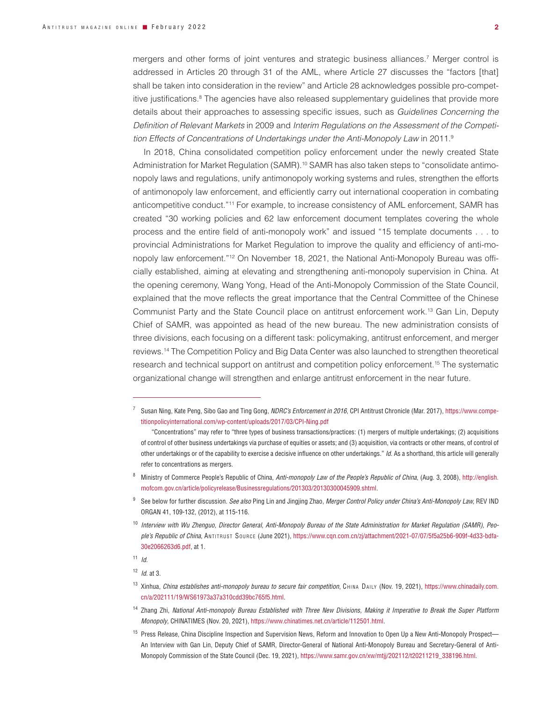mergers and other forms of joint ventures and strategic business alliances.7 Merger control is addressed in Articles 20 through 31 of the AML, where Article 27 discusses the "factors [that] shall be taken into consideration in the review" and Article 28 acknowledges possible pro-competitive justifications.<sup>8</sup> The agencies have also released supplementary guidelines that provide more details about their approaches to assessing specific issues, such as *Guidelines Concerning the Definition of Relevant Markets* in 2009 and *Interim Regulations on the Assessment of the Competition Effects of Concentrations of Undertakings under the Anti-Monopoly Law* in 2011.9

In 2018, China consolidated competition policy enforcement under the newly created State Administration for Market Regulation (SAMR).<sup>10</sup> SAMR has also taken steps to "consolidate antimonopoly laws and regulations, unify antimonopoly working systems and rules, strengthen the efforts of antimonopoly law enforcement, and efficiently carry out international cooperation in combating anticompetitive conduct."11 For example, to increase consistency of AML enforcement, SAMR has created "30 working policies and 62 law enforcement document templates covering the whole process and the entire field of anti-monopoly work" and issued "15 template documents . . . to provincial Administrations for Market Regulation to improve the quality and efficiency of anti-monopoly law enforcement."12 On November 18, 2021, the National Anti-Monopoly Bureau was officially established, aiming at elevating and strengthening anti-monopoly supervision in China. At the opening ceremony, Wang Yong, Head of the Anti-Monopoly Commission of the State Council, explained that the move reflects the great importance that the Central Committee of the Chinese Communist Party and the State Council place on antitrust enforcement work.13 Gan Lin, Deputy Chief of SAMR, was appointed as head of the new bureau. The new administration consists of three divisions, each focusing on a different task: policymaking, antitrust enforcement, and merger reviews.14 The Competition Policy and Big Data Center was also launched to strengthen theoretical research and technical support on antitrust and competition policy enforcement.15 The systematic organizational change will strengthen and enlarge antitrust enforcement in the near future.

<sup>7</sup> Susan Ning, Kate Peng, Sibo Gao and Ting Gong, *NDRC's Enforcement in 2016*, CPI Antitrust Chronicle (Mar. 2017), https://www.competitionpolicyinternational.com/wp-content/uploads/2017/03/CPI-Ning.pdf

<sup>&</sup>quot;Concentrations" may refer to "three types of business transactions/practices: (1) mergers of multiple undertakings; (2) acquisitions of control of other business undertakings via purchase of equities or assets; and (3) acquisition, via contracts or other means, of control of other undertakings or of the capability to exercise a decisive influence on other undertakings." *Id*. As a shorthand, this article will generally refer to concentrations as mergers.

<sup>8</sup> Ministry of Commerce People's Republic of China, *Anti-monopoly Law of the People's Republic of China*, (Aug. 3, 2008), http://english. mofcom.gov.cn/article/policyrelease/Businessregulations/201303/20130300045909.shtml.

<sup>9</sup> See below for further discussion. *See also* Ping Lin and Jingjing Zhao, *Merger Control Policy under China's Anti-Monopoly Law,* REV IND ORGAN 41, 109-132, (2012), at 115-116.

<sup>&</sup>lt;sup>10</sup> Interview with Wu Zhenguo, Director General, Anti-Monopoly Bureau of the State Administration for Market Regulation (SAMR), Peo*ple's Republic of China*, An t i t r u s t So u r c e (June 2021), https://www.cqn.com.cn/zj/attachment/2021-07/07/5f5a25b6-909f-4d33-bdfa-30e2066263d6.pdf, at 1.

<sup>11</sup> *Id.*

<sup>12</sup> *Id.* at 3.

<sup>13</sup> Xinhua, China establishes anti-monopoly bureau to secure fair competition, CHINA DAILY (Nov. 19, 2021), https://www.chinadaily.com. cn/a/202111/19/WS61973a37a310cdd39bc765f5.html.

<sup>14</sup> Zhang Zhi, *National Anti-monopoly Bureau Established with Three New Divisions, Making it Imperative to Break the Super Platform Monopoly*, CHINATIMES (Nov. 20, 2021), https://www.chinatimes.net.cn/article/112501.html.

<sup>&</sup>lt;sup>15</sup> Press Release, China Discipline Inspection and Supervision News, Reform and Innovation to Open Up a New Anti-Monopoly Prospect— An Interview with Gan Lin, Deputy Chief of SAMR, Director-General of National Anti-Monopoly Bureau and Secretary-General of Anti-Monopoly Commission of the State Council (Dec. 19, 2021), https://www.samr.gov.cn/xw/mtjj/202112/t20211219\_338196.html.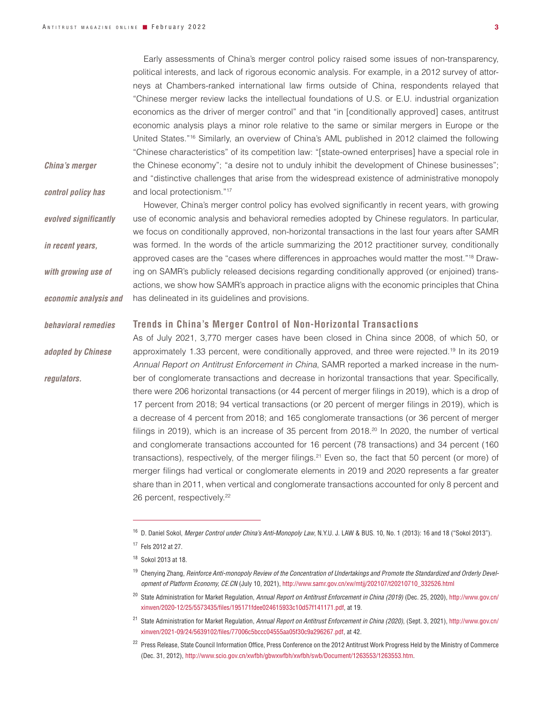Early assessments of China's merger control policy raised some issues of non-transparency, political interests, and lack of rigorous economic analysis. For example, in a 2012 survey of attorneys at Chambers-ranked international law firms outside of China, respondents relayed that "Chinese merger review lacks the intellectual foundations of U.S. or E.U. industrial organization economics as the driver of merger control" and that "in [conditionally approved] cases, antitrust economic analysis plays a minor role relative to the same or similar mergers in Europe or the United States."16 Similarly, an overview of China's AML published in 2012 claimed the following "Chinese characteristics" of its competition law: "[state-owned enterprises] have a special role in the Chinese economy"; "a desire not to unduly inhibit the development of Chinese businesses"; and "distinctive challenges that arise from the widespread existence of administrative monopoly and local protectionism."17

*China's merger* 

*control policy has* 

*in recent years,* 

*with growing use of* 

*economic analysis and* 

*adopted by Chinese* 

*regulators.*

*evolved significantly* 

However, China's merger control policy has evolved significantly in recent years, with growing use of economic analysis and behavioral remedies adopted by Chinese regulators. In particular, we focus on conditionally approved, non-horizontal transactions in the last four years after SAMR was formed. In the words of the article summarizing the 2012 practitioner survey, conditionally approved cases are the "cases where differences in approaches would matter the most."<sup>18</sup> Drawing on SAMR's publicly released decisions regarding conditionally approved (or enjoined) transactions, we show how SAMR's approach in practice aligns with the economic principles that China has delineated in its guidelines and provisions.

#### **Trends in China's Merger Control of Non-Horizontal Transactions** *behavioral remedies*

As of July 2021, 3,770 merger cases have been closed in China since 2008, of which 50, or approximately 1.33 percent, were conditionally approved, and three were rejected.19 In its 2019 *Annual Report on Antitrust Enforcement in China*, SAMR reported a marked increase in the number of conglomerate transactions and decrease in horizontal transactions that year. Specifically, there were 206 horizontal transactions (or 44 percent of merger filings in 2019), which is a drop of 17 percent from 2018; 94 vertical transactions (or 20 percent of merger filings in 2019), which is a decrease of 4 percent from 2018; and 165 conglomerate transactions (or 36 percent of merger filings in 2019), which is an increase of 35 percent from 2018. $20 \text{ In } 2020$ , the number of vertical and conglomerate transactions accounted for 16 percent (78 transactions) and 34 percent (160 transactions), respectively, of the merger filings.<sup>21</sup> Even so, the fact that 50 percent (or more) of merger filings had vertical or conglomerate elements in 2019 and 2020 represents a far greater share than in 2011, when vertical and conglomerate transactions accounted for only 8 percent and 26 percent, respectively.<sup>22</sup>

<sup>16</sup> D. Daniel Sokol, *Merger Control under China's Anti-Monopoly Law*, N.Y.U. J. LAW & BUS. 10, No. 1 (2013): 16 and 18 ("Sokol 2013").

<sup>17</sup> Fels 2012 at 27.

<sup>18</sup> Sokol 2013 at 18.

<sup>&</sup>lt;sup>19</sup> Chenying Zhang, Reinforce Anti-monopoly Review of the Concentration of Undertakings and Promote the Standardized and Orderly Devel*opment of Platform Economy, CE.CN* (July 10, 2021), http://www.samr.gov.cn/xw/mtjj/202107/t20210710\_332526.html

<sup>20</sup> State Administration for Market Regulation, *Annual Report on Antitrust Enforcement in China (2019)* (Dec. 25, 2020), http://www.gov.cn/ xinwen/2020-12/25/5573435/files/195171fdee024615933c10d57f141171.pdf, at 19.

<sup>21</sup> State Administration for Market Regulation, *Annual Report on Antitrust Enforcement in China (2020)*, (Sept. 3, 2021), http://www.gov.cn/ xinwen/2021-09/24/5639102/files/77006c5bccc04555aa05f30c9a296267.pdf, at 42.

<sup>&</sup>lt;sup>22</sup> Press Release, State Council Information Office, Press Conference on the 2012 Antitrust Work Progress Held by the Ministry of Commerce (Dec. 31, 2012), http://www.scio.gov.cn/xwfbh/gbwxwfbh/xwfbh/swb/Document/1263553/1263553.htm.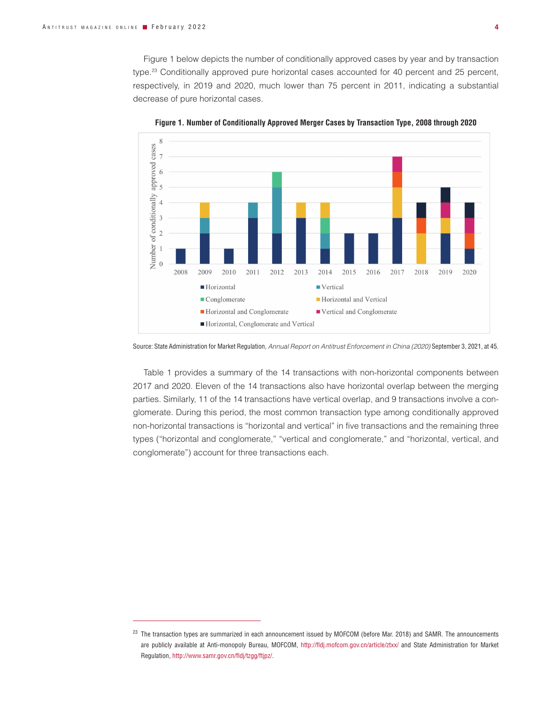Figure 1 below depicts the number of conditionally approved cases by year and by transaction type.23 Conditionally approved pure horizontal cases accounted for 40 percent and 25 percent, respectively, in 2019 and 2020, much lower than 75 percent in 2011, indicating a substantial decrease of pure horizontal cases.



**Figure 1. Number of Conditionally Approved Merger Cases by Transaction Type, 2008 through 2020**

Source: State Administration for Market Regulation, *Annual Report on Antitrust Enforcement in China (2020)* September 3, 2021, at 45.

Table 1 provides a summary of the 14 transactions with non-horizontal components between 2017 and 2020. Eleven of the 14 transactions also have horizontal overlap between the merging parties. Similarly, 11 of the 14 transactions have vertical overlap, and 9 transactions involve a conglomerate. During this period, the most common transaction type among conditionally approved non-horizontal transactions is "horizontal and vertical" in five transactions and the remaining three types ("horizontal and conglomerate," "vertical and conglomerate," and "horizontal, vertical, and conglomerate") account for three transactions each.

<sup>&</sup>lt;sup>23</sup> The transaction types are summarized in each announcement issued by MOFCOM (before Mar. 2018) and SAMR. The announcements are publicly available at Anti-monopoly Bureau, MOFCOM, http://fldj.mofcom.gov.cn/article/ztxx/ and State Administration for Market Regulation, http://www.samr.gov.cn/fldj/tzgg/ftjpz/.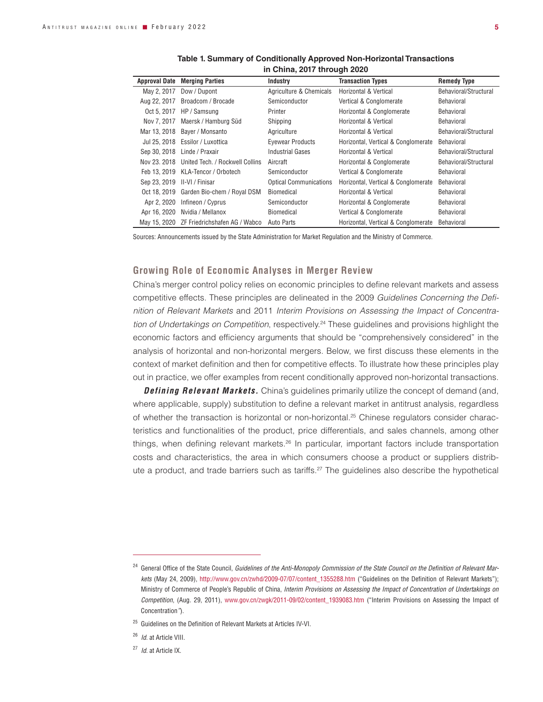|              | <b>Approval Date Merging Parties</b>         | Industry                      | <b>Transaction Types</b>            | <b>Remedy Type</b>    |
|--------------|----------------------------------------------|-------------------------------|-------------------------------------|-----------------------|
| May 2, 2017  | Dow / Dupont                                 | Agriculture & Chemicals       | Horizontal & Vertical               | Behavioral/Structural |
| Aug 22, 2017 | Broadcom / Brocade                           | Semiconductor                 | Vertical & Conglomerate             | <b>Behavioral</b>     |
| Oct 5, 2017  | HP / Samsung                                 | Printer                       | Horizontal & Conglomerate           | <b>Behavioral</b>     |
|              | Nov 7, 2017 Maersk / Hamburg Süd             | Shipping                      | Horizontal & Vertical               | <b>Behavioral</b>     |
|              | Mar 13, 2018 Bayer / Monsanto                | Agriculture                   | Horizontal & Vertical               | Behavioral/Structural |
|              | Jul 25, 2018 Essilor / Luxottica             | <b>Evewear Products</b>       | Horizontal, Vertical & Conglomerate | Behavioral            |
|              | Sep 30, 2018 Linde / Praxair                 | <b>Industrial Gases</b>       | Horizontal & Vertical               | Behavioral/Structural |
|              | Nov 23, 2018 United Tech. / Rockwell Collins | Aircraft                      | Horizontal & Conglomerate           | Behavioral/Structural |
|              | Feb 13, 2019 KLA-Tencor / Orbotech           | Semiconductor                 | Vertical & Conglomerate             | Behavioral            |
|              |                                              | <b>Optical Communications</b> | Horizontal, Vertical & Conglomerate | <b>Behavioral</b>     |
|              | Oct 18, 2019 Garden Bio-chem / Royal DSM     | <b>Biomedical</b>             | Horizontal & Vertical               | <b>Behavioral</b>     |
| Apr 2, 2020  | Infineon / Cyprus                            | Semiconductor                 | Horizontal & Conglomerate           | <b>Behavioral</b>     |
| Apr 16, 2020 | Nvidia / Mellanox                            | Biomedical                    | Vertical & Conglomerate             | <b>Behavioral</b>     |
|              | May 15, 2020 ZF Friedrichshafen AG / Wabco   | Auto Parts                    | Horizontal, Vertical & Conglomerate | Behavioral            |

| Table 1. Summary of Conditionally Approved Non-Horizontal Transactions |
|------------------------------------------------------------------------|
| in China, 2017 through 2020                                            |

Sources: Announcements issued by the State Administration for Market Regulation and the Ministry of Commerce.

# **Growing Role of Economic Analyses in Merger Review**

China's merger control policy relies on economic principles to define relevant markets and assess competitive effects. These principles are delineated in the 2009 *Guidelines Concerning the Definition of Relevant Markets* and 2011 *Interim Provisions on Assessing the Impact of Concentration of Undertakings on Competition*, respectively.24 These guidelines and provisions highlight the economic factors and efficiency arguments that should be "comprehensively considered" in the analysis of horizontal and non-horizontal mergers. Below, we first discuss these elements in the context of market definition and then for competitive effects. To illustrate how these principles play out in practice, we offer examples from recent conditionally approved non-horizontal transactions.

**Defining Relevant Markets.** China's guidelines primarily utilize the concept of demand (and, where applicable, supply) substitution to define a relevant market in antitrust analysis, regardless of whether the transaction is horizontal or non-horizontal.<sup>25</sup> Chinese regulators consider characteristics and functionalities of the product, price differentials, and sales channels, among other things, when defining relevant markets.26 In particular, important factors include transportation costs and characteristics, the area in which consumers choose a product or suppliers distribute a product, and trade barriers such as tariffs.<sup>27</sup> The quidelines also describe the hypothetical

- <sup>26</sup> *Id.* at Article VIII.
- <sup>27</sup> *Id.* at Article IX.

<sup>&</sup>lt;sup>24</sup> General Office of the State Council, *Guidelines of the Anti-Monopoly Commission of the State Council on the Definition of Relevant Mar*kets (May 24, 2009), http://www.gov.cn/zwhd/2009-07/07/content\_1355288.htm ("Guidelines on the Definition of Relevant Markets"); Ministry of Commerce of People's Republic of China, *Interim Provisions on Assessing the Impact of Concentration of Undertakings on Competition*, (Aug. 29, 2011), www.gov.cn/zwgk/2011-09/02/content\_1939083.htm ("Interim Provisions on Assessing the Impact of Concentration*"*).

<sup>&</sup>lt;sup>25</sup> Guidelines on the Definition of Relevant Markets at Articles IV-VI.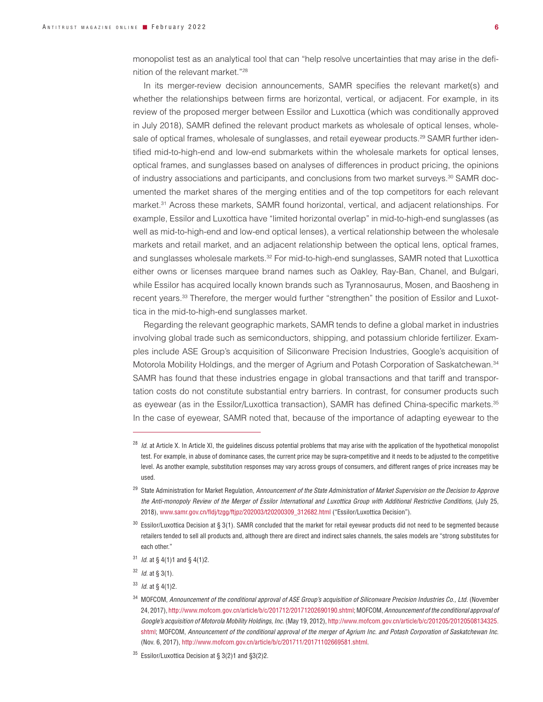monopolist test as an analytical tool that can "help resolve uncertainties that may arise in the definition of the relevant market."28

In its merger-review decision announcements, SAMR specifies the relevant market(s) and whether the relationships between firms are horizontal, vertical, or adjacent. For example, in its review of the proposed merger between Essilor and Luxottica (which was conditionally approved in July 2018), SAMR defined the relevant product markets as wholesale of optical lenses, wholesale of optical frames, wholesale of sunglasses, and retail eyewear products.<sup>29</sup> SAMR further identified mid-to-high-end and low-end submarkets within the wholesale markets for optical lenses, optical frames, and sunglasses based on analyses of differences in product pricing, the opinions of industry associations and participants, and conclusions from two market surveys.<sup>30</sup> SAMR documented the market shares of the merging entities and of the top competitors for each relevant market.31 Across these markets, SAMR found horizontal, vertical, and adjacent relationships. For example, Essilor and Luxottica have "limited horizontal overlap" in mid-to-high-end sunglasses (as well as mid-to-high-end and low-end optical lenses), a vertical relationship between the wholesale markets and retail market, and an adjacent relationship between the optical lens, optical frames, and sunglasses wholesale markets.<sup>32</sup> For mid-to-high-end sunglasses, SAMR noted that Luxottica either owns or licenses marquee brand names such as Oakley, Ray-Ban, Chanel, and Bulgari, while Essilor has acquired locally known brands such as Tyrannosaurus, Mosen, and Baosheng in recent years.33 Therefore, the merger would further "strengthen" the position of Essilor and Luxottica in the mid-to-high-end sunglasses market.

Regarding the relevant geographic markets, SAMR tends to define a global market in industries involving global trade such as semiconductors, shipping, and potassium chloride fertilizer. Examples include ASE Group's acquisition of Siliconware Precision Industries, Google's acquisition of Motorola Mobility Holdings, and the merger of Agrium and Potash Corporation of Saskatchewan.34 SAMR has found that these industries engage in global transactions and that tariff and transportation costs do not constitute substantial entry barriers. In contrast, for consumer products such as eyewear (as in the Essilor/Luxottica transaction), SAMR has defined China-specific markets.<sup>35</sup> In the case of eyewear, SAMR noted that, because of the importance of adapting eyewear to the

- <sup>31</sup> *Id.* at § 4(1)1 and § 4(1)2.
- <sup>32</sup> *Id.* at § 3(1).
- <sup>33</sup> *Id.* at § 4(1)2.

<sup>&</sup>lt;sup>28</sup> *Id.* at Article X. In Article XI, the guidelines discuss potential problems that may arise with the application of the hypothetical monopolist test. For example, in abuse of dominance cases, the current price may be supra-competitive and it needs to be adjusted to the competitive level. As another example, substitution responses may vary across groups of consumers, and different ranges of price increases may be used.

<sup>29</sup> State Administration for Market Regulation, *Announcement of the State Administration of Market Supervision on the Decision to Approve the Anti-monopoly Review of the Merger of Essilor International and Luxottica Group with Additional Restrictive Conditions*, (July 25, 2018), www.samr.gov.cn/fldj/tzgg/ftjpz/202003/t20200309\_312682.html ("Essilor/Luxottica Decision").

 $30$  Essilor/Luxottica Decision at § 3(1). SAMR concluded that the market for retail eyewear products did not need to be segmented because retailers tended to sell all products and, although there are direct and indirect sales channels, the sales models are "strong substitutes for each other."

<sup>34</sup> MOFCOM, *Announcement of the conditional approval of ASE Group's acquisition of Siliconware Precision Industries Co., Ltd.* (November 24, 2017), http://www.mofcom.gov.cn/article/b/c/201712/20171202690190.shtml; MOFCOM, *Announcement of the conditional approval of Google's acquisition of Motorola Mobility Holdings, Inc.* (May 19, 2012), http://www.mofcom.gov.cn/article/b/c/201205/20120508134325. shtml; MOFCOM, *Announcement of the conditional approval of the merger of Agrium Inc. and Potash Corporation of Saskatchewan Inc.* (Nov. 6, 2017), http://www.mofcom.gov.cn/article/b/c/201711/20171102669581.shtml.

 $35$  Essilor/Luxottica Decision at § 3(2)1 and §3(2)2.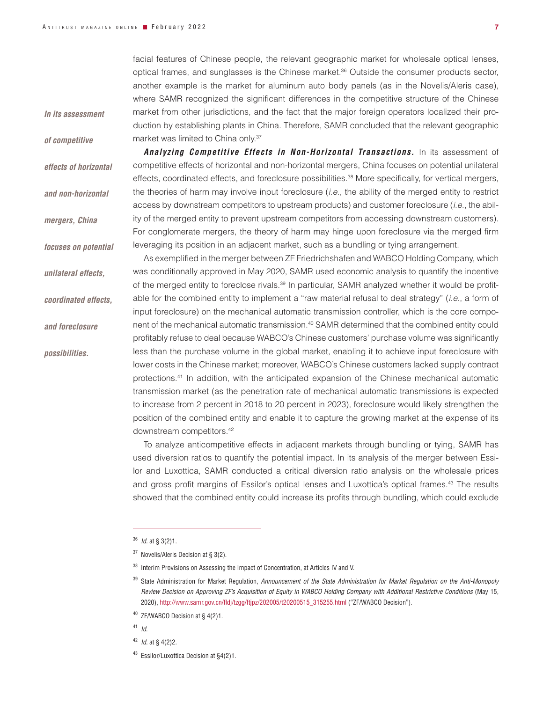facial features of Chinese people, the relevant geographic market for wholesale optical lenses,

*In its assessment* 

*of competitive* 

*effects of horizontal* 

*and non-horizontal* 

*mergers, China* 

*focuses on potential* 

*unilateral effects,* 

*coordinated effects,* 

*and foreclosure* 

*possibilities.*

optical frames, and sunglasses is the Chinese market.36 Outside the consumer products sector, another example is the market for aluminum auto body panels (as in the Novelis/Aleris case), where SAMR recognized the significant differences in the competitive structure of the Chinese market from other jurisdictions, and the fact that the major foreign operators localized their production by establishing plants in China. Therefore, SAMR concluded that the relevant geographic market was limited to China only.37

*Analyzing Competitive Effects in Non-Horizontal Transactions.* In its assessment of competitive effects of horizontal and non-horizontal mergers, China focuses on potential unilateral effects, coordinated effects, and foreclosure possibilities.<sup>38</sup> More specifically, for vertical mergers, the theories of harm may involve input foreclosure (*i.e*., the ability of the merged entity to restrict access by downstream competitors to upstream products) and customer foreclosure (*i.e*., the ability of the merged entity to prevent upstream competitors from accessing downstream customers). For conglomerate mergers, the theory of harm may hinge upon foreclosure via the merged firm leveraging its position in an adjacent market, such as a bundling or tying arrangement.

As exemplified in the merger between ZF Friedrichshafen and WABCO Holding Company, which was conditionally approved in May 2020, SAMR used economic analysis to quantify the incentive of the merged entity to foreclose rivals.39 In particular, SAMR analyzed whether it would be profitable for the combined entity to implement a "raw material refusal to deal strategy" (*i.e.*, a form of input foreclosure) on the mechanical automatic transmission controller, which is the core component of the mechanical automatic transmission.40 SAMR determined that the combined entity could profitably refuse to deal because WABCO's Chinese customers' purchase volume was significantly less than the purchase volume in the global market, enabling it to achieve input foreclosure with lower costs in the Chinese market; moreover, WABCO's Chinese customers lacked supply contract protections.41 In addition, with the anticipated expansion of the Chinese mechanical automatic transmission market (as the penetration rate of mechanical automatic transmissions is expected to increase from 2 percent in 2018 to 20 percent in 2023), foreclosure would likely strengthen the position of the combined entity and enable it to capture the growing market at the expense of its downstream competitors.42

To analyze anticompetitive effects in adjacent markets through bundling or tying, SAMR has used diversion ratios to quantify the potential impact. In its analysis of the merger between Essilor and Luxottica, SAMR conducted a critical diversion ratio analysis on the wholesale prices and gross profit margins of Essilor's optical lenses and Luxottica's optical frames.<sup>43</sup> The results showed that the combined entity could increase its profits through bundling, which could exclude

<sup>36</sup> *Id.* at § 3(2)1.

 $37$  Novelis/Aleris Decision at § 3(2).

<sup>&</sup>lt;sup>38</sup> Interim Provisions on Assessing the Impact of Concentration, at Articles IV and V.

<sup>39</sup> State Administration for Market Regulation, *Announcement of the State Administration for Market Regulation on the Anti-Monopoly Review Decision on Approving ZF's Acquisition of Equity in WABCO Holding Company with Additional Restrictive Conditions* (May 15, 2020), http://www.samr.gov.cn/fldj/tzgg/ftjpz/202005/t20200515\_315255.html ("ZF/WABCO Decision").

<sup>40</sup> ZF/WABCO Decision at § 4(2)1.

<sup>41</sup> *Id*.

<sup>42</sup> *Id.* at § 4(2)2.

<sup>43</sup> Essilor/Luxottica Decision at §4(2)1.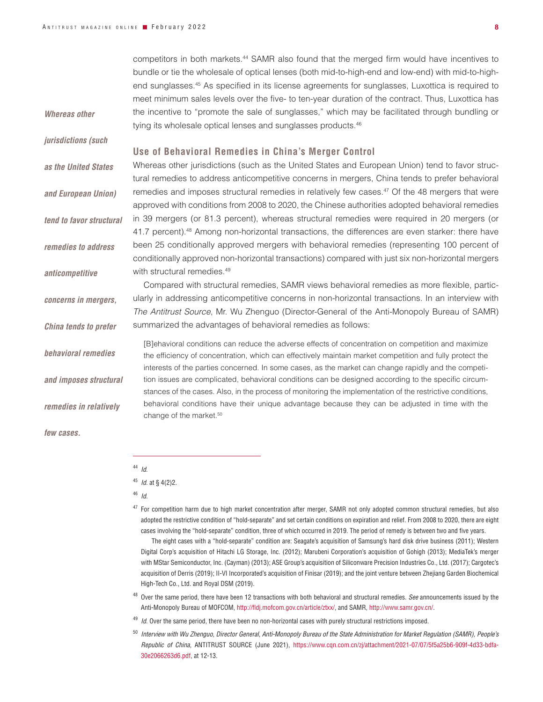competitors in both markets.44 SAMR also found that the merged firm would have incentives to bundle or tie the wholesale of optical lenses (both mid-to-high-end and low-end) with mid-to-highend sunglasses.45 As specified in its license agreements for sunglasses, Luxottica is required to meet minimum sales levels over the five- to ten-year duration of the contract. Thus, Luxottica has the incentive to "promote the sale of sunglasses," which may be facilitated through bundling or tying its wholesale optical lenses and sunglasses products.<sup>46</sup> **Use of Behavioral Remedies in China's Merger Control** Whereas other jurisdictions (such as the United States and European Union) tend to favor structural remedies to address anticompetitive concerns in mergers, China tends to prefer behavioral remedies and imposes structural remedies in relatively few cases.<sup>47</sup> Of the 48 mergers that were approved with conditions from 2008 to 2020, the Chinese authorities adopted behavioral remedies in 39 mergers (or 81.3 percent), whereas structural remedies were required in 20 mergers (or 41.7 percent).<sup>48</sup> Among non-horizontal transactions, the differences are even starker: there have been 25 conditionally approved mergers with behavioral remedies (representing 100 percent of conditionally approved non-horizontal transactions) compared with just six non-horizontal mergers with structural remedies.<sup>49</sup> Compared with structural remedies, SAMR views behavioral remedies as more flexible, particularly in addressing anticompetitive concerns in non-horizontal transactions. In an interview with *The Antitrust Source*, Mr. Wu Zhenguo (Director-General of the Anti-Monopoly Bureau of SAMR) summarized the advantages of behavioral remedies as follows: [B]ehavioral conditions can reduce the adverse effects of concentration on competition and maximize the efficiency of concentration, which can effectively maintain market competition and fully protect the interests of the parties concerned. In some cases, as the market can change rapidly and the competition issues are complicated, behavioral conditions can be designed according to the specific circumstances of the cases. Also, in the process of monitoring the implementation of the restrictive conditions, behavioral conditions have their unique advantage because they can be adjusted in time with the change of the market.<sup>50</sup> *Whereas other jurisdictions (such as the United States and European Union) tend to favor structural remedies to address anticompetitive concerns in mergers, China tends to prefer behavioral remedies and imposes structural remedies in relatively few cases.*

<sup>44</sup> *Id*.

<sup>47</sup> For competition harm due to high market concentration after merger, SAMR not only adopted common structural remedies, but also adopted the restrictive condition of "hold-separate" and set certain conditions on expiration and relief. From 2008 to 2020, there are eight cases involving the "hold-separate" condition, three of which occurred in 2019. The period of remedy is between two and five years.

The eight cases with a "hold-separate" condition are: Seagate's acquisition of Samsung's hard disk drive business (2011); Western Digital Corp's acquisition of Hitachi LG Storage, Inc. (2012); Marubeni Corporation's acquisition of Gohigh (2013); MediaTek's merger with MStar Semiconductor, Inc. (Cayman) (2013); ASE Group's acquisition of Siliconware Precision Industries Co., Ltd. (2017); Cargotec's acquisition of Derris (2019); II-VI Incorporated's acquisition of Finisar (2019); and the joint venture between Zhejiang Garden Biochemical High-Tech Co., Ltd. and Royal DSM (2019).

- <sup>48</sup> Over the same period, there have been 12 transactions with both behavioral and structural remedies. *See* announcements issued by the Anti-Monopoly Bureau of MOFCOM, http://fldj.mofcom.gov.cn/article/ztxx/, and SAMR, http://www.samr.gov.cn/.
- <sup>49</sup> *Id*. Over the same period, there have been no non-horizontal cases with purely structural restrictions imposed.
- <sup>50</sup> *Interview with Wu Zhenguo, Director General, Anti-Monopoly Bureau of the State Administration for Market Regulation (SAMR), People's Republic of China*, ANTITRUST SOURCE (June 2021), https://www.cqn.com.cn/zj/attachment/2021-07/07/5f5a25b6-909f-4d33-bdfa-30e2066263d6.pdf, at 12-13.

<sup>45</sup> *Id.* at § 4(2)2.

<sup>46</sup> *Id.*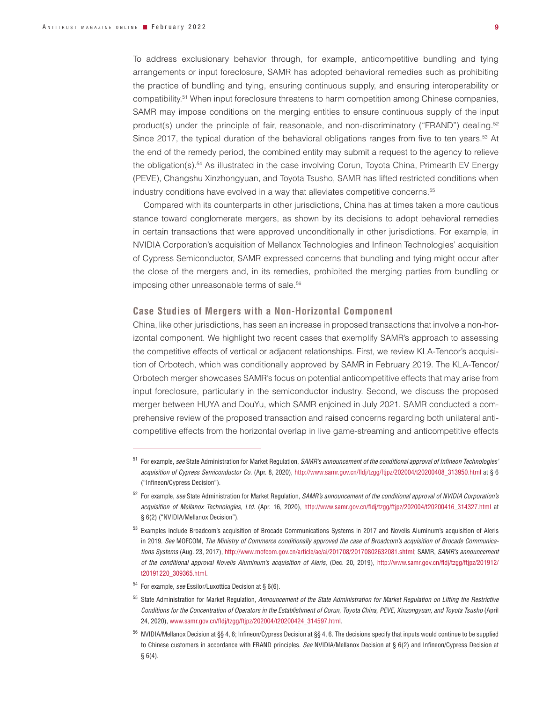To address exclusionary behavior through, for example, anticompetitive bundling and tying arrangements or input foreclosure, SAMR has adopted behavioral remedies such as prohibiting the practice of bundling and tying, ensuring continuous supply, and ensuring interoperability or compatibility.51 When input foreclosure threatens to harm competition among Chinese companies, SAMR may impose conditions on the merging entities to ensure continuous supply of the input product(s) under the principle of fair, reasonable, and non-discriminatory ("FRAND") dealing.<sup>52</sup> Since 2017, the typical duration of the behavioral obligations ranges from five to ten years.<sup>53</sup> At the end of the remedy period, the combined entity may submit a request to the agency to relieve the obligation(s).54 As illustrated in the case involving Corun, Toyota China, Primearth EV Energy (PEVE), Changshu Xinzhongyuan, and Toyota Tsusho, SAMR has lifted restricted conditions when industry conditions have evolved in a way that alleviates competitive concerns.55

Compared with its counterparts in other jurisdictions, China has at times taken a more cautious stance toward conglomerate mergers, as shown by its decisions to adopt behavioral remedies in certain transactions that were approved unconditionally in other jurisdictions. For example, in NVIDIA Corporation's acquisition of Mellanox Technologies and Infineon Technologies' acquisition of Cypress Semiconductor, SAMR expressed concerns that bundling and tying might occur after the close of the mergers and, in its remedies, prohibited the merging parties from bundling or imposing other unreasonable terms of sale.<sup>56</sup>

## **Case Studies of Mergers with a Non-Horizontal Component**

China, like other jurisdictions, has seen an increase in proposed transactions that involve a non-horizontal component. We highlight two recent cases that exemplify SAMR's approach to assessing the competitive effects of vertical or adjacent relationships. First, we review KLA-Tencor's acquisition of Orbotech, which was conditionally approved by SAMR in February 2019. The KLA-Tencor/ Orbotech merger showcases SAMR's focus on potential anticompetitive effects that may arise from input foreclosure, particularly in the semiconductor industry. Second, we discuss the proposed merger between HUYA and DouYu, which SAMR enjoined in July 2021. SAMR conducted a comprehensive review of the proposed transaction and raised concerns regarding both unilateral anticompetitive effects from the horizontal overlap in live game-streaming and anticompetitive effects

<sup>51</sup> For example, *see* State Administration for Market Regulation, *SAMR's announcement of the conditional approval of Infineon Technologies' acquisition of Cypress Semiconductor Co.* (Apr. 8, 2020), http://www.samr.gov.cn/fldj/tzgg/ftjpz/202004/t20200408\_313950.html at § 6 ("Infineon/Cypress Decision").

<sup>52</sup> For example, *see* State Administration for Market Regulation, *SAMR's announcement of the conditional approval of NVIDIA Corporation's acquisition of Mellanox Technologies, Ltd.* (Apr. 16, 2020), http://www.samr.gov.cn/fldj/tzgg/ftjpz/202004/t20200416\_314327.html at § 6(2) ("NVIDIA/Mellanox Decision").

<sup>53</sup> Examples include Broadcom's acquisition of Brocade Communications Systems in 2017 and Novelis Aluminum's acquisition of Aleris in 2019. *See* MOFCOM, *The Ministry of Commerce conditionally approved the case of Broadcom's acquisition of Brocade Communications Systems* (Aug. 23, 2017), http://www.mofcom.gov.cn/article/ae/ai/201708/20170802632081.shtml; SAMR, *SAMR's announcement of the conditional approval Novelis Aluminum's acquisition of Aleris*, (Dec. 20, 2019), http://www.samr.gov.cn/fldj/tzgg/ftjpz/201912/ t20191220\_309365.html.

<sup>54</sup> For example, *see* Essilor/Luxottica Decision at § 6(6).

<sup>55</sup> State Administration for Market Regulation, *Announcement of the State Administration for Market Regulation on Lifting the Restrictive Conditions for the Concentration of Operators in the Establishment of Corun, Toyota China, PEVE, Xinzongyuan, and Toyota Tsusho* (April 24, 2020), www.samr.gov.cn/fldj/tzgg/ftjpz/202004/t20200424\_314597.html.

<sup>56</sup> NVIDIA/Mellanox Decision at §§ 4, 6; Infineon/Cypress Decision at §§ 4, 6. The decisions specify that inputs would continue to be supplied to Chinese customers in accordance with FRAND principles. *See* NVIDIA/Mellanox Decision at § 6(2) and Infineon/Cypress Decision at  $§ 6(4).$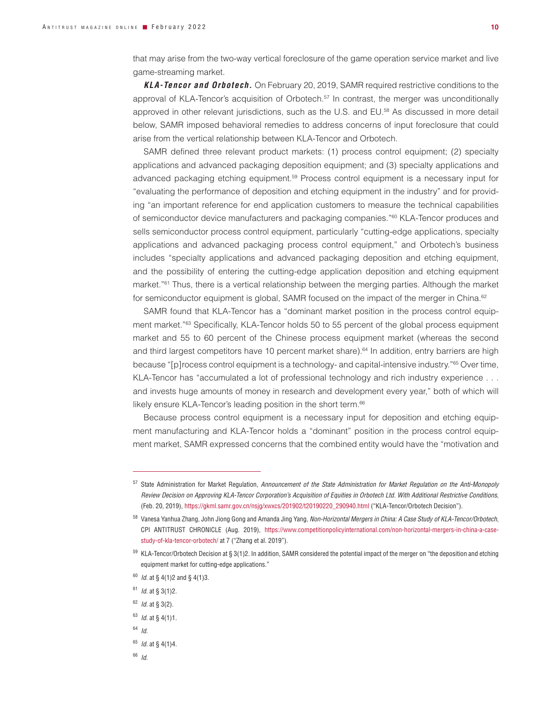that may arise from the two-way vertical foreclosure of the game operation service market and live game-streaming market.

*KLA-Tencor and Orbotech.* On February 20, 2019, SAMR required restrictive conditions to the approval of KLA-Tencor's acquisition of Orbotech.<sup>57</sup> In contrast, the merger was unconditionally approved in other relevant jurisdictions, such as the U.S. and EU.<sup>58</sup> As discussed in more detail below, SAMR imposed behavioral remedies to address concerns of input foreclosure that could arise from the vertical relationship between KLA-Tencor and Orbotech.

SAMR defined three relevant product markets: (1) process control equipment; (2) specialty applications and advanced packaging deposition equipment; and (3) specialty applications and advanced packaging etching equipment.<sup>59</sup> Process control equipment is a necessary input for "evaluating the performance of deposition and etching equipment in the industry" and for providing "an important reference for end application customers to measure the technical capabilities of semiconductor device manufacturers and packaging companies."60 KLA-Tencor produces and sells semiconductor process control equipment, particularly "cutting-edge applications, specialty applications and advanced packaging process control equipment," and Orbotech's business includes "specialty applications and advanced packaging deposition and etching equipment, and the possibility of entering the cutting-edge application deposition and etching equipment market."<sup>61</sup> Thus, there is a vertical relationship between the merging parties. Although the market for semiconductor equipment is global, SAMR focused on the impact of the merger in China.<sup>62</sup>

SAMR found that KLA-Tencor has a "dominant market position in the process control equipment market."<sup>63</sup> Specifically, KLA-Tencor holds 50 to 55 percent of the global process equipment market and 55 to 60 percent of the Chinese process equipment market (whereas the second and third largest competitors have 10 percent market share).<sup>64</sup> In addition, entry barriers are high because "[p]rocess control equipment is a technology- and capital-intensive industry."65 Over time, KLA-Tencor has "accumulated a lot of professional technology and rich industry experience . . . and invests huge amounts of money in research and development every year," both of which will likely ensure KLA-Tencor's leading position in the short term.<sup>66</sup>

Because process control equipment is a necessary input for deposition and etching equipment manufacturing and KLA-Tencor holds a "dominant" position in the process control equipment market, SAMR expressed concerns that the combined entity would have the "motivation and

- <sup>60</sup> *Id.* at § 4(1)2 and § 4(1)3.
- <sup>61</sup> *Id.* at § 3(1)2.
- <sup>62</sup> *Id.* at § 3(2).
- <sup>63</sup> *Id.* at § 4(1)1.
- <sup>64</sup> *Id.*
- <sup>65</sup> *Id.* at § 4(1)4.
- <sup>66</sup> *Id.*

<sup>57</sup> State Administration for Market Regulation, *Announcement of the State Administration for Market Regulation on the Anti-Monopoly Review Decision on Approving KLA-Tencor Corporation's Acquisition of Equities in Orbotech Ltd. With Additional Restrictive Conditions*, (Feb. 20, 2019), https://gkml.samr.gov.cn/nsjg/xwxcs/201902/t20190220\_290940.html ("KLA-Tencor/Orbotech Decision").

<sup>58</sup> Vanesa Yanhua Zhang, John Jiong Gong and Amanda Jing Yang, *Non-Horizontal Mergers in China: A Case Study of KLA-Tencor/Orbotech*, CPI ANTITRUST CHRONICLE (Aug. 2019), https://www.competitionpolicyinternational.com/non-horizontal-mergers-in-china-a-casestudy-of-kla-tencor-orbotech/ at 7 ("Zhang et al. 2019").

 $59$  KLA-Tencor/Orbotech Decision at § 3(1)2. In addition, SAMR considered the potential impact of the merger on "the deposition and etching equipment market for cutting-edge applications."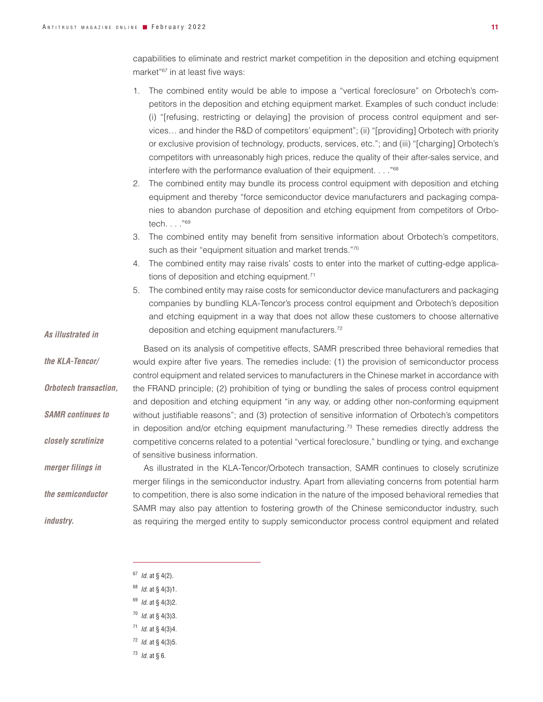*As illustrated in* 

*the KLA-Tencor/*

*Orbotech transaction,* 

*SAMR continues to* 

*closely scrutinize* 

*merger filings in* 

*the semiconductor* 

*industry.*

capabilities to eliminate and restrict market competition in the deposition and etching equipment market"67 in at least five ways:

- 1. The combined entity would be able to impose a "vertical foreclosure" on Orbotech's competitors in the deposition and etching equipment market. Examples of such conduct include: (i) "[refusing, restricting or delaying] the provision of process control equipment and services… and hinder the R&D of competitors' equipment"; (ii) "[providing] Orbotech with priority or exclusive provision of technology, products, services, etc."; and (iii) "[charging] Orbotech's competitors with unreasonably high prices, reduce the quality of their after-sales service, and interfere with the performance evaluation of their equipment. . . . "68
- 2. The combined entity may bundle its process control equipment with deposition and etching equipment and thereby "force semiconductor device manufacturers and packaging companies to abandon purchase of deposition and etching equipment from competitors of Orbotech. . . ."69
- 3. The combined entity may benefit from sensitive information about Orbotech's competitors, such as their "equipment situation and market trends."70
- 4. The combined entity may raise rivals' costs to enter into the market of cutting-edge applications of deposition and etching equipment.<sup>71</sup>
- 5. The combined entity may raise costs for semiconductor device manufacturers and packaging companies by bundling KLA-Tencor's process control equipment and Orbotech's deposition and etching equipment in a way that does not allow these customers to choose alternative deposition and etching equipment manufacturers.72

Based on its analysis of competitive effects, SAMR prescribed three behavioral remedies that would expire after five years. The remedies include: (1) the provision of semiconductor process control equipment and related services to manufacturers in the Chinese market in accordance with the FRAND principle; (2) prohibition of tying or bundling the sales of process control equipment and deposition and etching equipment "in any way, or adding other non-conforming equipment without justifiable reasons"; and (3) protection of sensitive information of Orbotech's competitors in deposition and/or etching equipment manufacturing.<sup>73</sup> These remedies directly address the competitive concerns related to a potential "vertical foreclosure," bundling or tying, and exchange of sensitive business information.

As illustrated in the KLA-Tencor/Orbotech transaction, SAMR continues to closely scrutinize merger filings in the semiconductor industry. Apart from alleviating concerns from potential harm to competition, there is also some indication in the nature of the imposed behavioral remedies that SAMR may also pay attention to fostering growth of the Chinese semiconductor industry, such as requiring the merged entity to supply semiconductor process control equipment and related

- <sup>67</sup> *Id.* at § 4(2).
- <sup>68</sup> *Id.* at § 4(3)1.
- <sup>69</sup> *Id.* at § 4(3)2.
- <sup>70</sup> *Id.* at § 4(3)3.
- <sup>71</sup> *Id.* at § 4(3)4.
- <sup>72</sup> *Id.* at § 4(3)5.
- <sup>73</sup> *Id.* at § 6.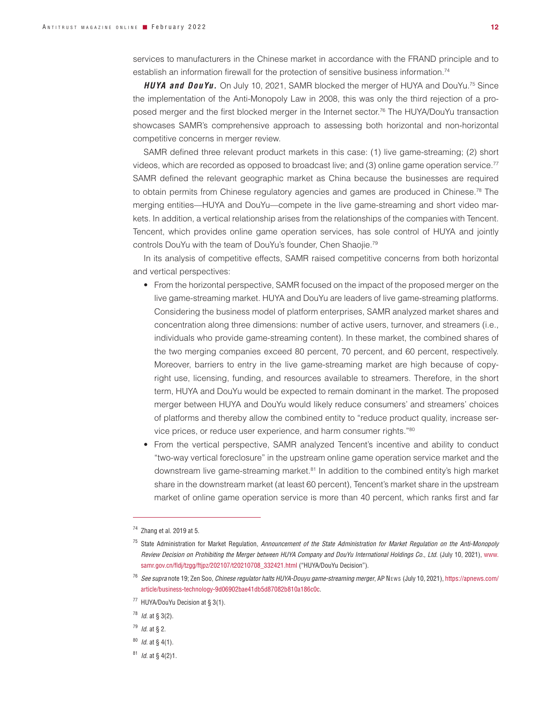services to manufacturers in the Chinese market in accordance with the FRAND principle and to establish an information firewall for the protection of sensitive business information.74

*HUYA and DouYu.* On July 10, 2021, SAMR blocked the merger of HUYA and DouYu.75 Since the implementation of the Anti-Monopoly Law in 2008, this was only the third rejection of a proposed merger and the first blocked merger in the Internet sector.<sup>76</sup> The HUYA/DouYu transaction showcases SAMR's comprehensive approach to assessing both horizontal and non-horizontal competitive concerns in merger review.

SAMR defined three relevant product markets in this case: (1) live game-streaming; (2) short videos, which are recorded as opposed to broadcast live; and (3) online game operation service.77 SAMR defined the relevant geographic market as China because the businesses are required to obtain permits from Chinese regulatory agencies and games are produced in Chinese.<sup>78</sup> The merging entities—HUYA and DouYu—compete in the live game-streaming and short video markets. In addition, a vertical relationship arises from the relationships of the companies with Tencent. Tencent, which provides online game operation services, has sole control of HUYA and jointly controls DouYu with the team of DouYu's founder, Chen Shaojie.79

In its analysis of competitive effects, SAMR raised competitive concerns from both horizontal and vertical perspectives:

- From the horizontal perspective, SAMR focused on the impact of the proposed merger on the live game-streaming market. HUYA and DouYu are leaders of live game-streaming platforms. Considering the business model of platform enterprises, SAMR analyzed market shares and concentration along three dimensions: number of active users, turnover, and streamers (i.e., individuals who provide game-streaming content). In these market, the combined shares of the two merging companies exceed 80 percent, 70 percent, and 60 percent, respectively. Moreover, barriers to entry in the live game-streaming market are high because of copyright use, licensing, funding, and resources available to streamers. Therefore, in the short term, HUYA and DouYu would be expected to remain dominant in the market. The proposed merger between HUYA and DouYu would likely reduce consumers' and streamers' choices of platforms and thereby allow the combined entity to "reduce product quality, increase service prices, or reduce user experience, and harm consumer rights."80
- From the vertical perspective, SAMR analyzed Tencent's incentive and ability to conduct "two-way vertical foreclosure" in the upstream online game operation service market and the downstream live game-streaming market.81 In addition to the combined entity's high market share in the downstream market (at least 60 percent), Tencent's market share in the upstream market of online game operation service is more than 40 percent, which ranks first and far

<sup>74</sup> Zhang et al. 2019 at 5.

<sup>75</sup> State Administration for Market Regulation, *Announcement of the State Administration for Market Regulation on the Anti-Monopoly Review Decision on Prohibiting the Merger between HUYA Company and DouYu International Holdings Co., Ltd*. (July 10, 2021), www. samr.gov.cn/fldj/tzgg/ftjpz/202107/t20210708\_332421.html ("HUYA/DouYu Decision").

<sup>&</sup>lt;sup>76</sup> See supra note 19; Zen Soo, *Chinese regulator halts HUYA-Douyu game-streaming merger*, AP News (July 10, 2021), https://apnews.com/ article/business-technology-9d06902bae41db5d87082b810a186c0c.

<sup>77</sup> HUYA/DouYu Decision at § 3(1).

<sup>78</sup> *Id.* at § 3(2).

<sup>79</sup> *Id.* at § 2.

<sup>80</sup> *Id.* at § 4(1).

<sup>81</sup> *Id.* at § 4(2)1.